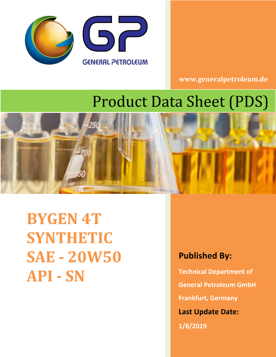

**www.generalpetroleum.de**

# Product Data Sheet (PDS)



**BYGEN 4T SYNTHETIC SAE - 20W50 API - SN**

## **Published By:**

**Technical Department of General Petroleum GmbH Frankfurt, Germany Last Update Date:**

**1/8/2019**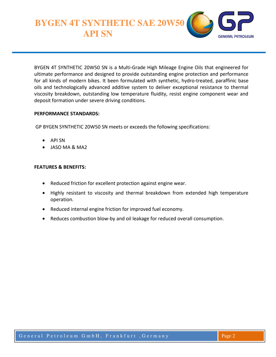**BYGEN 4T SYNTHETIC SAE 20W50 API SN**



BYGEN 4T SYNTHETIC 20W50 SN is a Multi-Grade High Mileage Engine Oils that engineered for ultimate performance and designed to provide outstanding engine protection and performance for all kinds of modern bikes. It been formulated with synthetic, hydro-treated, paraffinic base oils and technologically advanced additive system to deliver exceptional resistance to thermal viscosity breakdown, outstanding low temperature fluidity, resist engine component wear and deposit formation under severe driving conditions.

#### **PERFORMANCE STANDARDS:**

GP BYGEN SYNTHETIC 20W50 SN meets or exceeds the following specifications:

- API SN
- JASO MA & MA2

#### **FEATURES & BENEFITS:**

- Reduced friction for excellent protection against engine wear.
- Highly resistant to viscosity and thermal breakdown from extended high temperature operation.
- Reduced internal engine friction for improved fuel economy.
- Reduces combustion blow-by and oil leakage for reduced overall consumption.